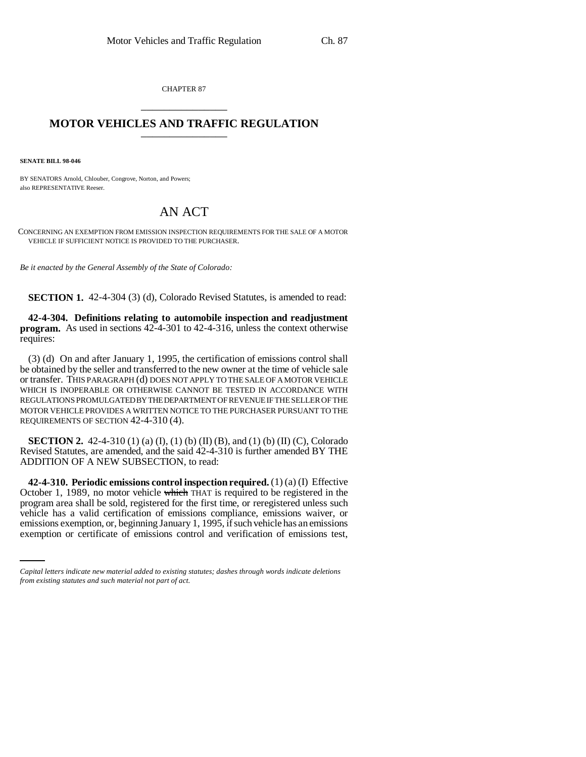CHAPTER 87 \_\_\_\_\_\_\_\_\_\_\_\_\_\_\_

## **MOTOR VEHICLES AND TRAFFIC REGULATION** \_\_\_\_\_\_\_\_\_\_\_\_\_\_\_

**SENATE BILL 98-046**

BY SENATORS Arnold, Chlouber, Congrove, Norton, and Powers; also REPRESENTATIVE Reeser.

## AN ACT

CONCERNING AN EXEMPTION FROM EMISSION INSPECTION REQUIREMENTS FOR THE SALE OF A MOTOR VEHICLE IF SUFFICIENT NOTICE IS PROVIDED TO THE PURCHASER.

*Be it enacted by the General Assembly of the State of Colorado:*

**SECTION 1.** 42-4-304 (3) (d), Colorado Revised Statutes, is amended to read:

**42-4-304. Definitions relating to automobile inspection and readjustment program.** As used in sections 42-4-301 to 42-4-316, unless the context otherwise requires:

(3) (d) On and after January 1, 1995, the certification of emissions control shall be obtained by the seller and transferred to the new owner at the time of vehicle sale or transfer. THIS PARAGRAPH (d) DOES NOT APPLY TO THE SALE OF A MOTOR VEHICLE WHICH IS INOPERABLE OR OTHERWISE CANNOT BE TESTED IN ACCORDANCE WITH REGULATIONS PROMULGATED BY THE DEPARTMENT OF REVENUE IF THE SELLER OF THE MOTOR VEHICLE PROVIDES A WRITTEN NOTICE TO THE PURCHASER PURSUANT TO THE REQUIREMENTS OF SECTION 42-4-310 (4).

**SECTION 2.** 42-4-310 (1) (a) (I), (1) (b) (II) (B), and (1) (b) (II) (C), Colorado Revised Statutes, are amended, and the said 42-4-310 is further amended BY THE ADDITION OF A NEW SUBSECTION, to read:

vehicle has a valid certification of emissions compliance, emissions waiver, or **42-4-310. Periodic emissions control inspection required.** (1) (a) (I) Effective October 1, 1989, no motor vehicle which THAT is required to be registered in the program area shall be sold, registered for the first time, or reregistered unless such emissions exemption, or, beginning January 1, 1995, if such vehicle has an emissions exemption or certificate of emissions control and verification of emissions test,

*Capital letters indicate new material added to existing statutes; dashes through words indicate deletions from existing statutes and such material not part of act.*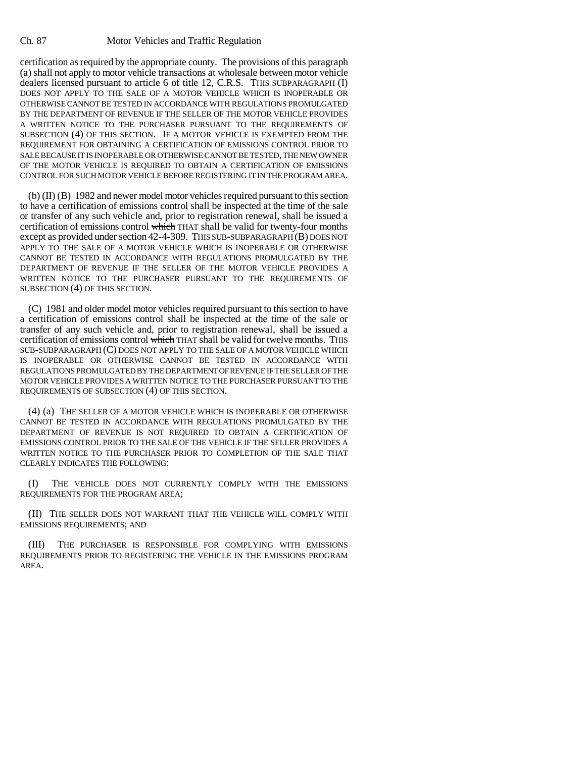certification as required by the appropriate county. The provisions of this paragraph (a) shall not apply to motor vehicle transactions at wholesale between motor vehicle dealers licensed pursuant to article 6 of title 12, C.R.S. THIS SUBPARAGRAPH (I) DOES NOT APPLY TO THE SALE OF A MOTOR VEHICLE WHICH IS INOPERABLE OR OTHERWISE CANNOT BE TESTED IN ACCORDANCE WITH REGULATIONS PROMULGATED BY THE DEPARTMENT OF REVENUE IF THE SELLER OF THE MOTOR VEHICLE PROVIDES A WRITTEN NOTICE TO THE PURCHASER PURSUANT TO THE REQUIREMENTS OF SUBSECTION (4) OF THIS SECTION. IF A MOTOR VEHICLE IS EXEMPTED FROM THE REQUIREMENT FOR OBTAINING A CERTIFICATION OF EMISSIONS CONTROL PRIOR TO SALE BECAUSE IT IS INOPERABLE OR OTHERWISE CANNOT BE TESTED, THE NEW OWNER OF THE MOTOR VEHICLE IS REQUIRED TO OBTAIN A CERTIFICATION OF EMISSIONS CONTROL FOR SUCH MOTOR VEHICLE BEFORE REGISTERING IT IN THE PROGRAM AREA.

(b) (II) (B) 1982 and newer model motor vehicles required pursuant to this section to have a certification of emissions control shall be inspected at the time of the sale or transfer of any such vehicle and, prior to registration renewal, shall be issued a certification of emissions control which THAT shall be valid for twenty-four months except as provided under section 42-4-309. THIS SUB-SUBPARAGRAPH (B) DOES NOT APPLY TO THE SALE OF A MOTOR VEHICLE WHICH IS INOPERABLE OR OTHERWISE CANNOT BE TESTED IN ACCORDANCE WITH REGULATIONS PROMULGATED BY THE DEPARTMENT OF REVENUE IF THE SELLER OF THE MOTOR VEHICLE PROVIDES A WRITTEN NOTICE TO THE PURCHASER PURSUANT TO THE REQUIREMENTS OF SUBSECTION (4) OF THIS SECTION.

(C) 1981 and older model motor vehicles required pursuant to this section to have a certification of emissions control shall be inspected at the time of the sale or transfer of any such vehicle and, prior to registration renewal, shall be issued a certification of emissions control which THAT shall be valid for twelve months. THIS SUB-SUBPARAGRAPH (C) DOES NOT APPLY TO THE SALE OF A MOTOR VEHICLE WHICH IS INOPERABLE OR OTHERWISE CANNOT BE TESTED IN ACCORDANCE WITH REGULATIONS PROMULGATED BY THE DEPARTMENT OF REVENUE IF THE SELLER OF THE MOTOR VEHICLE PROVIDES A WRITTEN NOTICE TO THE PURCHASER PURSUANT TO THE REQUIREMENTS OF SUBSECTION (4) OF THIS SECTION.

(4) (a) THE SELLER OF A MOTOR VEHICLE WHICH IS INOPERABLE OR OTHERWISE CANNOT BE TESTED IN ACCORDANCE WITH REGULATIONS PROMULGATED BY THE DEPARTMENT OF REVENUE IS NOT REQUIRED TO OBTAIN A CERTIFICATION OF EMISSIONS CONTROL PRIOR TO THE SALE OF THE VEHICLE IF THE SELLER PROVIDES A WRITTEN NOTICE TO THE PURCHASER PRIOR TO COMPLETION OF THE SALE THAT CLEARLY INDICATES THE FOLLOWING:

(I) THE VEHICLE DOES NOT CURRENTLY COMPLY WITH THE EMISSIONS REQUIREMENTS FOR THE PROGRAM AREA;

(II) THE SELLER DOES NOT WARRANT THAT THE VEHICLE WILL COMPLY WITH EMISSIONS REQUIREMENTS; AND

(III) THE PURCHASER IS RESPONSIBLE FOR COMPLYING WITH EMISSIONS REQUIREMENTS PRIOR TO REGISTERING THE VEHICLE IN THE EMISSIONS PROGRAM AREA.